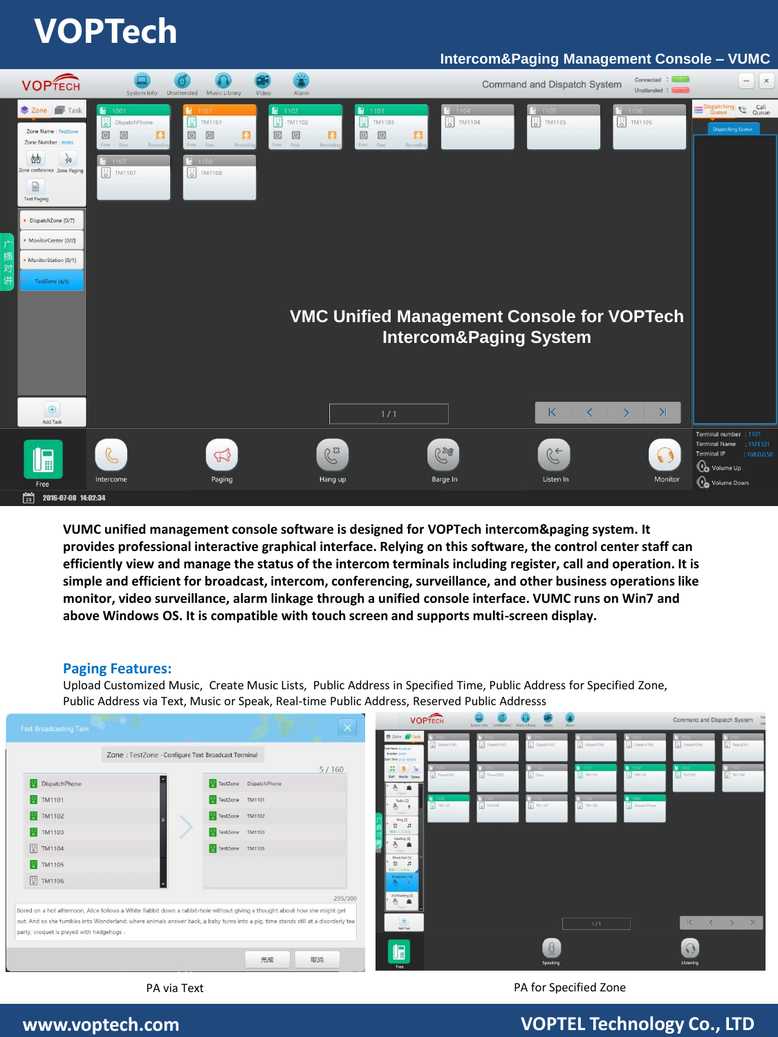# **VOPTech**

### **Intercom&Paging Management Console – VUMC**



**VUMC unified management console software is designed for VOPTech intercom&paging system. It provides professional interactive graphical interface. Relying on this software, the control center staff can efficiently view and manage the status of the intercom terminals including register, call and operation. It is simple and efficient for broadcast, intercom, conferencing, surveillance, and other business operations like monitor, video surveillance, alarm linkage through a unified console interface. VUMC runs on Win7 and above Windows OS. It is compatible with touch screen and supports multi-screen display.** 

#### **Paging Features:**

Upload Customized Music, Create Music Lists, Public Address in Specified Time, Public Address for Specified Zone, Public Address via Text, Music or Speak, Real-time Public Address, Reserved Public Addresss



#### PA via Text **PA for Specified Zone**

# **www.voptech.com VOPTEL Technology Co., LTD**